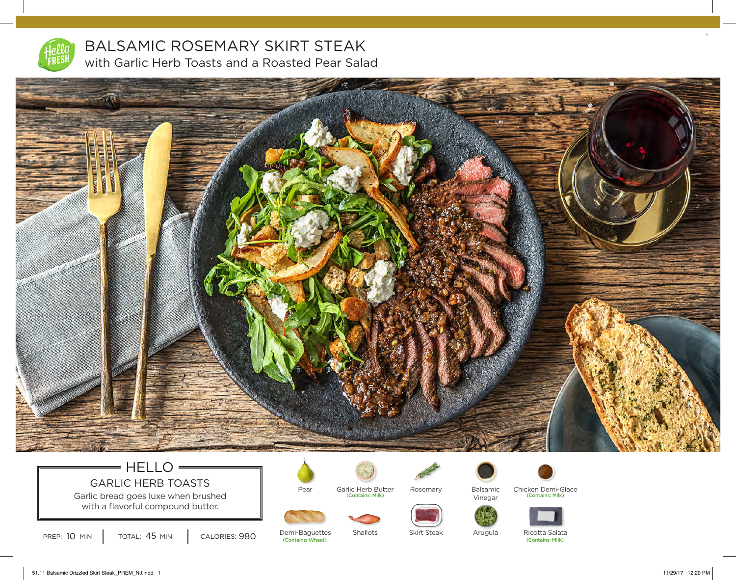

BALSAMIC ROSEMARY SKIRT STEAK with Garlic Herb Toasts and a Roasted Pear Salad



# $=$  HELLO  $=$ GARLIC HERB TOASTS

Garlic bread goes luxe when brushed with a flavorful compound butter.



Garlic Herb Butter<br>
(Contains: Milk)



Skirt Steak



(Contains: Milk) (Contains: Milk) Chicken Demi-Glace Balsamic Vinegar



PREP: 10 MIN | TOTAL: 45 MIN | CALORIES: 980

(Contains: Wheat) (Contains: Milk) Demi-Baguettes

Pear

Shallots

Arugula

Ricotta Salata

11